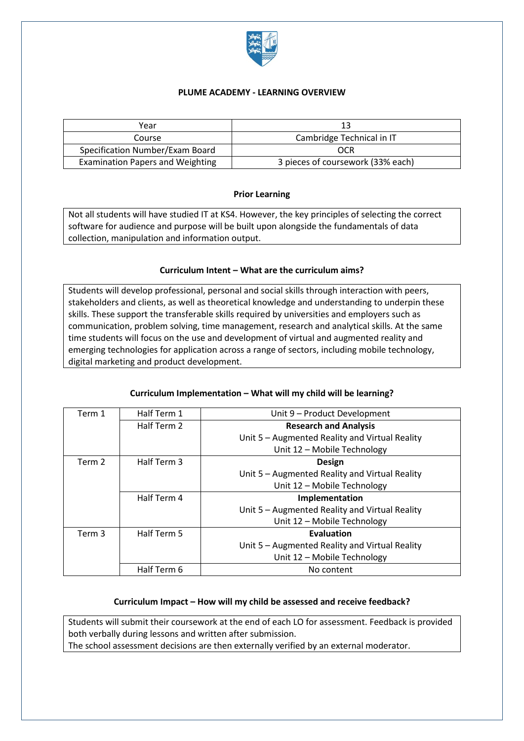

### **PLUME ACADEMY - LEARNING OVERVIEW**

| Year                                    |                                   |
|-----------------------------------------|-----------------------------------|
| Course                                  | Cambridge Technical in IT         |
| Specification Number/Exam Board         | OCR                               |
| <b>Examination Papers and Weighting</b> | 3 pieces of coursework (33% each) |

### **Prior Learning**

Not all students will have studied IT at KS4. However, the key principles of selecting the correct software for audience and purpose will be built upon alongside the fundamentals of data collection, manipulation and information output.

### **Curriculum Intent – What are the curriculum aims?**

Students will develop professional, personal and social skills through interaction with peers, stakeholders and clients, as well as theoretical knowledge and understanding to underpin these skills. These support the transferable skills required by universities and employers such as communication, problem solving, time management, research and analytical skills. At the same time students will focus on the use and development of virtual and augmented reality and emerging technologies for application across a range of sectors, including mobile technology, digital marketing and product development.

## **Curriculum Implementation – What will my child will be learning?**

| Term 1 | Half Term 1 | Unit 9 - Product Development                   |
|--------|-------------|------------------------------------------------|
|        | Half Term 2 | <b>Research and Analysis</b>                   |
|        |             | Unit 5 - Augmented Reality and Virtual Reality |
|        |             | Unit 12 - Mobile Technology                    |
| Term 2 | Half Term 3 | <b>Design</b>                                  |
|        |             | Unit 5 - Augmented Reality and Virtual Reality |
|        |             | Unit 12 - Mobile Technology                    |
|        | Half Term 4 | Implementation                                 |
|        |             | Unit 5 - Augmented Reality and Virtual Reality |
|        |             | Unit 12 - Mobile Technology                    |
| Term 3 | Half Term 5 | Evaluation                                     |
|        |             | Unit 5 - Augmented Reality and Virtual Reality |
|        |             |                                                |
|        |             | Unit 12 - Mobile Technology                    |
|        | Half Term 6 | No content                                     |

### **Curriculum Impact – How will my child be assessed and receive feedback?**

Students will submit their coursework at the end of each LO for assessment. Feedback is provided both verbally during lessons and written after submission. The school assessment decisions are then externally verified by an external moderator.